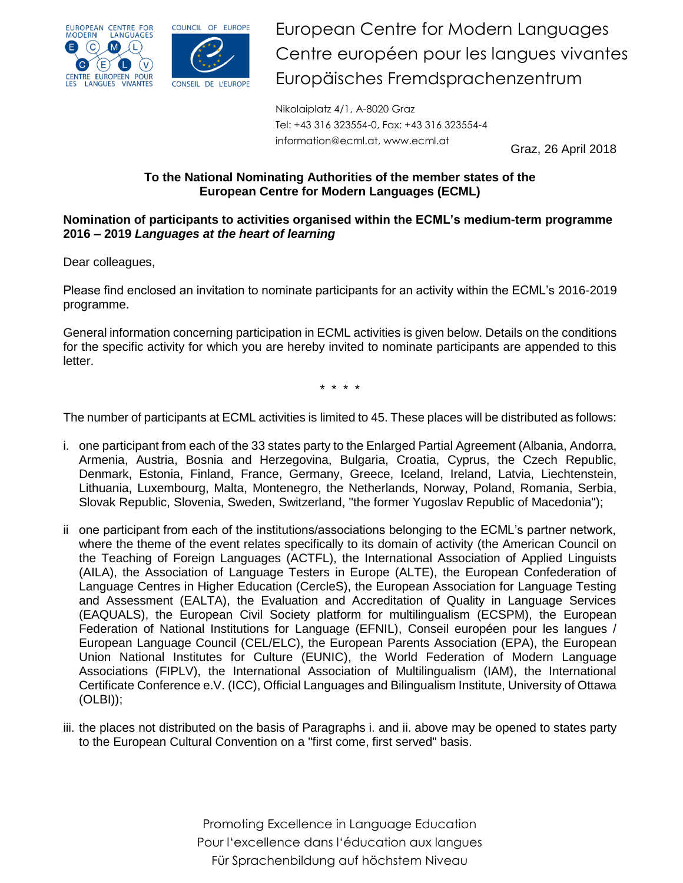



European Centre for Modern Languages Centre européen pour les langues vivantes Europäisches Fremdsprachenzentrum

Nikolaiplatz 4/1, A-8020 Graz Tel: +43 316 323554-0, Fax: +43 316 323554-4 information@ecml.at, www.ecml.at Graz, 26 April 2018

## **To the National Nominating Authorities of the member states of the European Centre for Modern Languages (ECML)**

## **Nomination of participants to activities organised within the ECML's medium-term programme 2016 – 2019** *Languages at the heart of learning*

Dear colleagues,

Please find enclosed an invitation to nominate participants for an activity within the ECML's 2016-2019 programme.

General information concerning participation in ECML activities is given below. Details on the conditions for the specific activity for which you are hereby invited to nominate participants are appended to this letter.

\* \* \* \*

The number of participants at ECML activities is limited to 45. These places will be distributed as follows:

- i. one participant from each of the 33 states party to the Enlarged Partial Agreement (Albania, Andorra, Armenia, Austria, Bosnia and Herzegovina, Bulgaria, Croatia, Cyprus, the Czech Republic, Denmark, Estonia, Finland, France, Germany, Greece, Iceland, Ireland, Latvia, Liechtenstein, Lithuania, Luxembourg, Malta, Montenegro, the Netherlands, Norway, Poland, Romania, Serbia, Slovak Republic, Slovenia, Sweden, Switzerland, "the former Yugoslav Republic of Macedonia");
- ii one participant from each of the institutions/associations belonging to the ECML's partner network, where the theme of the event relates specifically to its domain of activity (the American Council on the Teaching of Foreign Languages (ACTFL), the International Association of Applied Linguists (AILA), the Association of Language Testers in Europe (ALTE), the European Confederation of Language Centres in Higher Education (CercleS), the European Association for Language Testing and Assessment (EALTA), the Evaluation and Accreditation of Quality in Language Services (EAQUALS), the European Civil Society platform for multilingualism (ECSPM), the European Federation of National Institutions for Language (EFNIL), Conseil européen pour les langues / European Language Council (CEL/ELC), the European Parents Association (EPA), the European Union National Institutes for Culture (EUNIC), the World Federation of Modern Language Associations (FIPLV), the International Association of Multilingualism (IAM), the International Certificate Conference e.V. (ICC), Official Languages and Bilingualism Institute, University of Ottawa (OLBI));
- iii. the places not distributed on the basis of Paragraphs i. and ii. above may be opened to states party to the European Cultural Convention on a "first come, first served" basis.

Promoting Excellence in Language Education Pour l'excellence dans l'éducation aux langues Für Sprachenbildung auf höchstem Niveau